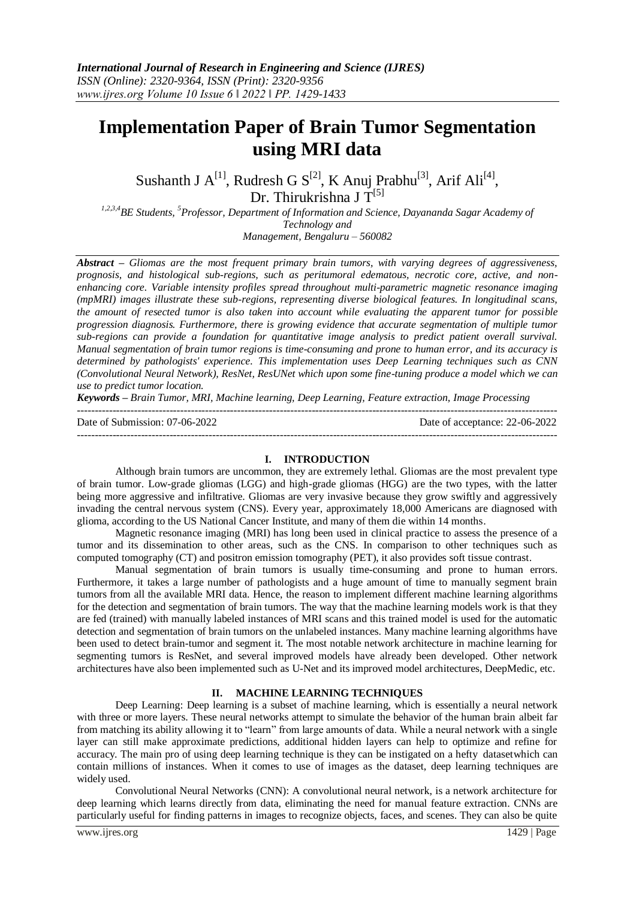# **Implementation Paper of Brain Tumor Segmentation using MRI data**

Sushanth J  $A^{[1]}$ , Rudresh G  $S^{[2]}$ , K Anuj Prabhu $^{[3]}$ , Arif Ali<sup>[4]</sup>, Dr. Thirukrishna J  $T^{[5]}$ 

*1,2,3,4BE Students, <sup>5</sup>Professor, Department of Information and Science, Dayananda Sagar Academy of Technology and Management, Bengaluru – 560082*

*Abstract – Gliomas are the most frequent primary brain tumors, with varying degrees of aggressiveness, prognosis, and histological sub-regions, such as peritumoral edematous, necrotic core, active, and nonenhancing core. Variable intensity profiles spread throughout multi-parametric magnetic resonance imaging (mpMRI) images illustrate these sub-regions, representing diverse biological features. In longitudinal scans, the amount of resected tumor is also taken into account while evaluating the apparent tumor for possible progression diagnosis. Furthermore, there is growing evidence that accurate segmentation of multiple tumor sub-regions can provide a foundation for quantitative image analysis to predict patient overall survival. Manual segmentation of brain tumor regions is time-consuming and prone to human error, and its accuracy is determined by pathologists' experience. This implementation uses Deep Learning techniques such as CNN (Convolutional Neural Network), ResNet, ResUNet which upon some fine-tuning produce a model which we can use to predict tumor location.*

*Keywords – Brain Tumor, MRI, Machine learning, Deep Learning, Feature extraction, Image Processing*

 $-1\leq i\leq n-1\leq n-1\leq n-1\leq n-1\leq n-1\leq n-1\leq n-1\leq n-1\leq n-1\leq n-1\leq n-1\leq n-1\leq n-1\leq n-1\leq n-1\leq n-1\leq n-1\leq n-1\leq n-1\leq n-1\leq n-1\leq n-1\leq n-1\leq n-1\leq n-1\leq n-1\leq n-1\leq n-1\leq n-1\leq n-1\leq n-1\leq n-1\leq n-1\leq n-1\leq n-1\leq n$ 

Date of Submission: 07-06-2022 Date of acceptance: 22-06-2022

---------------------------------------------------------------------------------------------------------------------------------------

# **I. INTRODUCTION**

Although brain tumors are uncommon, they are extremely lethal. Gliomas are the most prevalent type of brain tumor. Low-grade gliomas (LGG) and high-grade gliomas (HGG) are the two types, with the latter being more aggressive and infiltrative. Gliomas are very invasive because they grow swiftly and aggressively invading the central nervous system (CNS). Every year, approximately 18,000 Americans are diagnosed with glioma, according to the US National Cancer Institute, and many of them die within 14 months.

Magnetic resonance imaging (MRI) has long been used in clinical practice to assess the presence of a tumor and its dissemination to other areas, such as the CNS. In comparison to other techniques such as computed tomography (CT) and positron emission tomography (PET), it also provides soft tissue contrast.

Manual segmentation of brain tumors is usually time-consuming and prone to human errors. Furthermore, it takes a large number of pathologists and a huge amount of time to manually segment brain tumors from all the available MRI data. Hence, the reason to implement different machine learning algorithms for the detection and segmentation of brain tumors. The way that the machine learning models work is that they are fed (trained) with manually labeled instances of MRI scans and this trained model is used for the automatic detection and segmentation of brain tumors on the unlabeled instances. Many machine learning algorithms have been used to detect brain-tumor and segment it. The most notable network architecture in machine learning for segmenting tumors is ResNet, and several improved models have already been developed. Other network architectures have also been implemented such as U-Net and its improved model architectures, DeepMedic, etc.

#### **II. MACHINE LEARNING TECHNIQUES**

Deep Learning: Deep learning is a subset of machine learning, which is essentially a neural network with three or more layers. These neural networks attempt to simulate the behavior of the human brain albeit far from matching its ability allowing it to "learn" from large amounts of data. While a neural network with a single layer can still make approximate predictions, additional hidden layers can help to optimize and refine for accuracy. The main pro of using deep learning technique is they can be instigated on a hefty datasetwhich can contain millions of instances. When it comes to use of images as the dataset, deep learning techniques are widely used.

Convolutional Neural Networks (CNN): A convolutional neural network, is a network architecture for deep learning which learns directly from data, eliminating the need for manual feature extraction. CNNs are particularly useful for finding patterns in images to recognize objects, faces, and scenes. They can also be quite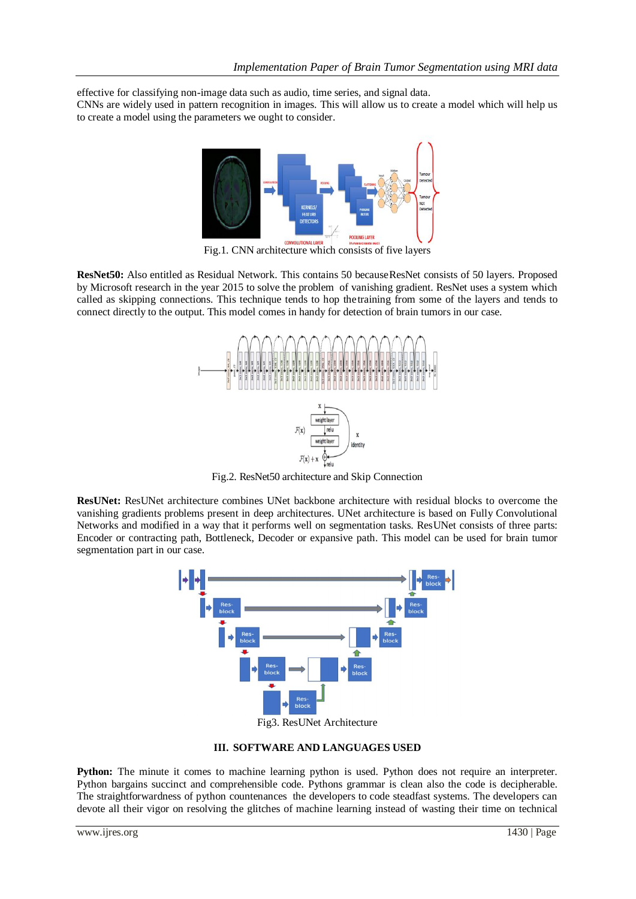effective for classifying non-image data such as audio, time series, and signal data.

CNNs are widely used in pattern recognition in images. This will allow us to create a model which will help us to create a model using the parameters we ought to consider.



Fig.1. CNN architecture which consists of five layers

**ResNet50:** Also entitled as Residual Network. This contains 50 becauseResNet consists of 50 layers. Proposed by Microsoft research in the year 2015 to solve the problem of vanishing gradient. ResNet uses a system which called as skipping connections. This technique tends to hop thetraining from some of the layers and tends to connect directly to the output. This model comes in handy for detection of brain tumors in our case.



Fig.2. ResNet50 architecture and Skip Connection

**ResUNet:** ResUNet architecture combines UNet backbone architecture with residual blocks to overcome the vanishing gradients problems present in deep architectures. UNet architecture is based on Fully Convolutional Networks and modified in a way that it performs well on segmentation tasks. ResUNet consists of three parts: Encoder or contracting path, Bottleneck, Decoder or expansive path. This model can be used for brain tumor segmentation part in our case.



**III. SOFTWARE AND LANGUAGES USED**

**Python:** The minute it comes to machine learning python is used. Python does not require an interpreter. Python bargains succinct and comprehensible code. Pythons grammar is clean also the code is decipherable. The straightforwardness of python countenances the developers to code steadfast systems. The developers can devote all their vigor on resolving the glitches of machine learning instead of wasting their time on technical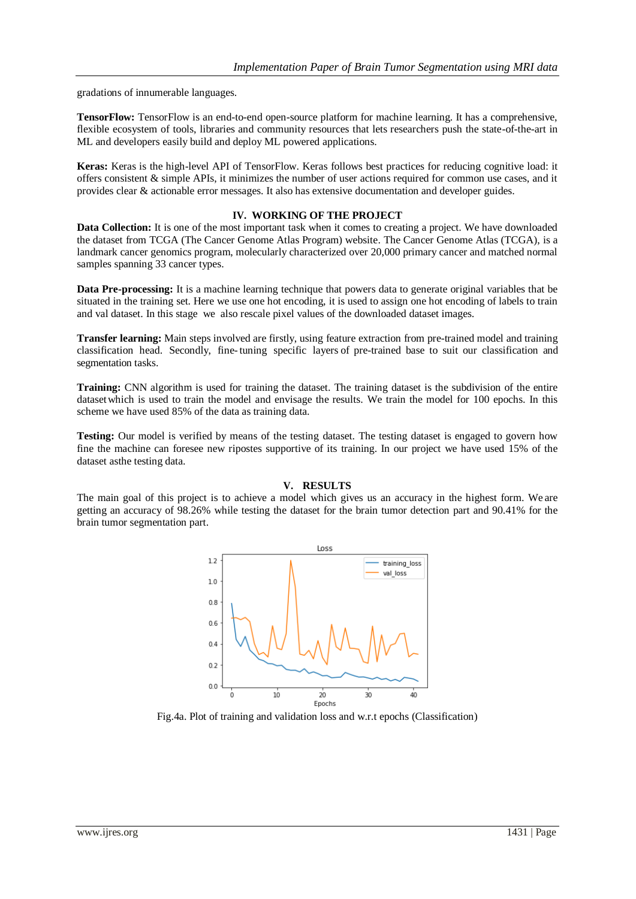gradations of innumerable languages.

**TensorFlow:** TensorFlow is an end-to-end open-source platform for machine learning. It has a comprehensive, flexible ecosystem of tools, libraries and community resources that lets researchers push the state-of-the-art in ML and developers easily build and deploy ML powered applications.

**Keras:** Keras is the high-level API of TensorFlow. Keras follows best practices for reducing cognitive load: it offers consistent & simple APIs, it minimizes the number of user actions required for common use cases, and it provides clear & actionable error messages. It also has extensive documentation and developer guides.

# **IV. WORKING OF THE PROJECT**

**Data Collection:** It is one of the most important task when it comes to creating a project. We have downloaded the dataset from TCGA (The Cancer Genome Atlas Program) website. The Cancer Genome Atlas (TCGA), is a landmark cancer genomics program, molecularly characterized over 20,000 primary cancer and matched normal samples spanning 33 cancer types.

**Data Pre-processing:** It is a machine learning technique that powers data to generate original variables that be situated in the training set. Here we use one hot encoding, it is used to assign one hot encoding of labels to train and val dataset. In this stage we also rescale pixel values of the downloaded dataset images.

**Transfer learning:** Main steps involved are firstly, using feature extraction from pre-trained model and training classification head. Secondly, fine-tuning specific layers of pre-trained base to suit our classification and segmentation tasks.

**Training:** CNN algorithm is used for training the dataset. The training dataset is the subdivision of the entire datasetwhich is used to train the model and envisage the results. We train the model for 100 epochs. In this scheme we have used 85% of the data as training data.

**Testing:** Our model is verified by means of the testing dataset. The testing dataset is engaged to govern how fine the machine can foresee new ripostes supportive of its training. In our project we have used 15% of the dataset asthe testing data.

#### **V. RESULTS**

The main goal of this project is to achieve a model which gives us an accuracy in the highest form. We are getting an accuracy of 98.26% while testing the dataset for the brain tumor detection part and 90.41% for the brain tumor segmentation part.



Fig.4a. Plot of training and validation loss and w.r.t epochs (Classification)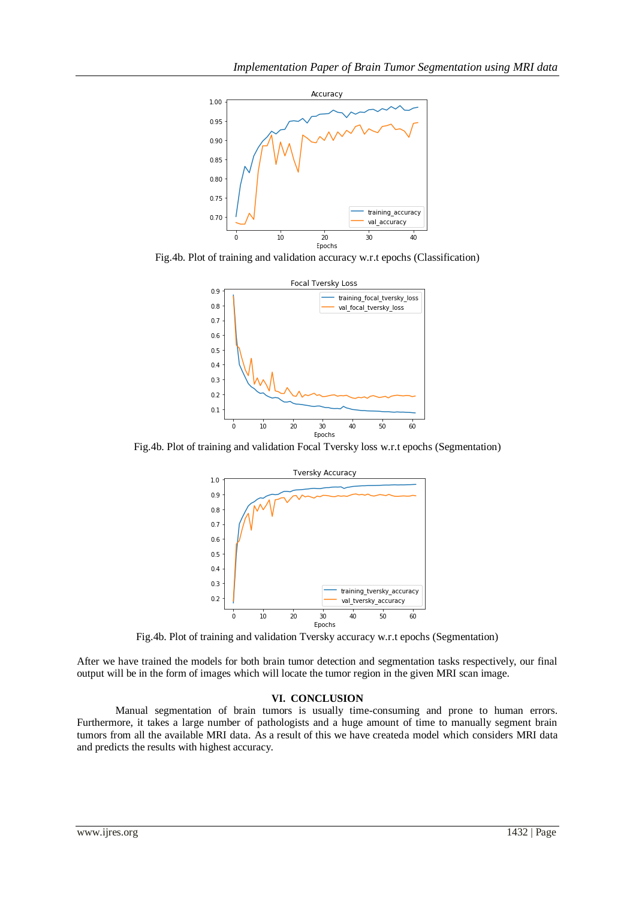

Fig.4b. Plot of training and validation accuracy w.r.t epochs (Classification)



Fig.4b. Plot of training and validation Focal Tversky loss w.r.t epochs (Segmentation)



Fig.4b. Plot of training and validation Tversky accuracy w.r.t epochs (Segmentation)

After we have trained the models for both brain tumor detection and segmentation tasks respectively, our final output will be in the form of images which will locate the tumor region in the given MRI scan image.

## **VI. CONCLUSION**

Manual segmentation of brain tumors is usually time-consuming and prone to human errors. Furthermore, it takes a large number of pathologists and a huge amount of time to manually segment brain tumors from all the available MRI data. As a result of this we have createda model which considers MRI data and predicts the results with highest accuracy.